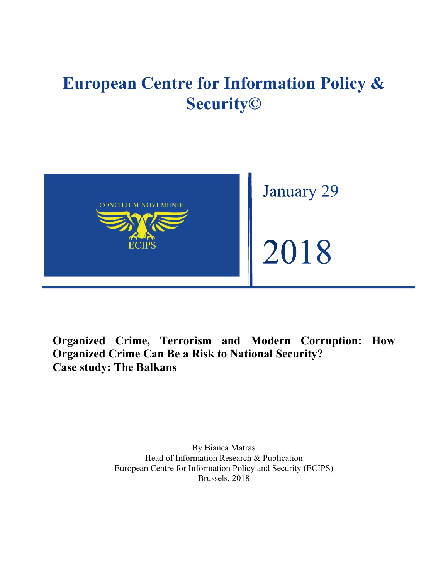# **European Centre for Information Policy & Security©**



**Organized Crime, Terrorism and Modern Corruption: How Organized Crime Can Be a Risk to National Security? Case study: The Balkans**

> By Bianca Matras Head of Information Research & Publication European Centre for Information Policy and Security (ECIPS) Brussels, 2018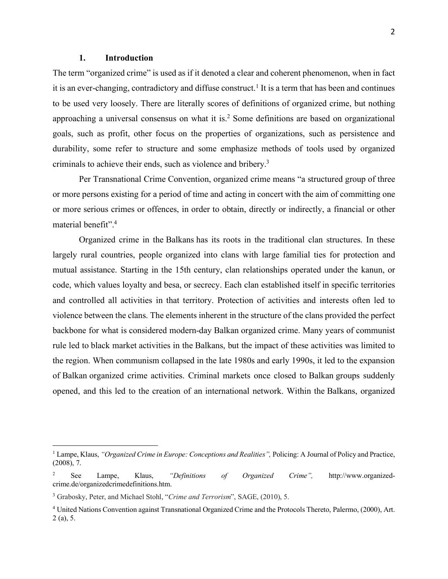### **1. Introduction**

The term "organized crime" is used as if it denoted a clear and coherent phenomenon, when in fact it is an ever-changing, contradictory and diffuse construct.<sup>1</sup> It is a term that has been and continues to be used very loosely. There are literally scores of definitions of organized crime, but nothing approaching a universal consensus on what it is.<sup>2</sup> Some definitions are based on organizational goals, such as profit, other focus on the properties of organizations, such as persistence and durability, some refer to structure and some emphasize methods of tools used by organized criminals to achieve their ends, such as violence and bribery.3

Per Transnational Crime Convention, organized crime means "a structured group of three or more persons existing for a period of time and acting in concert with the aim of committing one or more serious crimes or offences, in order to obtain, directly or indirectly, a financial or other material benefit".4

Organized crime in the Balkans has its roots in the traditional clan structures. In these largely rural countries, people organized into clans with large familial ties for protection and mutual assistance. Starting in the 15th century, clan relationships operated under the kanun, or code, which values loyalty and besa, or secrecy. Each clan established itself in specific territories and controlled all activities in that territory. Protection of activities and interests often led to violence between the clans. The elements inherent in the structure of the clans provided the perfect backbone for what is considered modern-day Balkan organized crime. Many years of communist rule led to black market activities in the Balkans, but the impact of these activities was limited to the region. When communism collapsed in the late 1980s and early 1990s, it led to the expansion of Balkan organized crime activities. Criminal markets once closed to Balkan groups suddenly opened, and this led to the creation of an international network. Within the Balkans, organized

<sup>&</sup>lt;sup>1</sup> Lampe, Klaus, *"Organized Crime in Europe: Conceptions and Realities"*, Policing: A Journal of Policy and Practice, (2008), 7.

<sup>2</sup> See Lampe, Klaus, *"Definitions of Organized Crime",* http://www.organizedcrime.de/organizedcrimedefinitions.htm.

<sup>3</sup> Grabosky, Peter, and Michael Stohl, "*Crime and Terrorism*", SAGE, (2010), 5.

<sup>4</sup> United Nations Convention against Transnational Organized Crime and the Protocols Thereto, Palermo, (2000), Art. 2 (a), 5.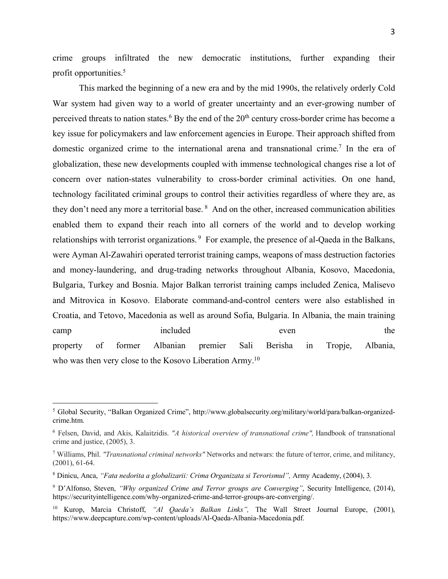crime groups infiltrated the new democratic institutions, further expanding their profit opportunities.5

This marked the beginning of a new era and by the mid 1990s, the relatively orderly Cold War system had given way to a world of greater uncertainty and an ever-growing number of perceived threats to nation states.<sup>6</sup> By the end of the  $20<sup>th</sup>$  century cross-border crime has become a key issue for policymakers and law enforcement agencies in Europe. Their approach shifted from domestic organized crime to the international arena and transnational crime.<sup>7</sup> In the era of globalization, these new developments coupled with immense technological changes rise a lot of concern over nation-states vulnerability to cross-border criminal activities. On one hand, technology facilitated criminal groups to control their activities regardless of where they are, as they don't need any more a territorial base. <sup>8</sup> And on the other, increased communication abilities enabled them to expand their reach into all corners of the world and to develop working relationships with terrorist organizations.<sup>9</sup> For example, the presence of al-Qaeda in the Balkans, were Ayman Al-Zawahiri operated terrorist training camps, weapons of mass destruction factories and money-laundering, and drug-trading networks throughout Albania, Kosovo, Macedonia, Bulgaria, Turkey and Bosnia. Major Balkan terrorist training camps included Zenica, Malisevo and Mitrovica in Kosovo. Elaborate command-and-control centers were also established in Croatia, and Tetovo, Macedonia as well as around Sofia, Bulgaria. In Albania, the main training camp included even the property of former Albanian premier Sali Berisha in Tropje, Albania, who was then very close to the Kosovo Liberation Army.<sup>10</sup>

<sup>5</sup> Global Security, "Balkan Organized Crime", http://www.globalsecurity.org/military/world/para/balkan-organizedcrime.htm.

<sup>6</sup> Felsen, David, and Akis, Kalaitzidis. *"A historical overview of transnational crime",* Handbook of transnational crime and justice, (2005), 3.

<sup>7</sup> Williams, Phil. *"Transnational criminal networks"* Networks and netwars: the future of terror, crime, and militancy, (2001), 61-64.

<sup>8</sup> Dinicu, Anca, *"Fata nedorita a globalizarii: Crima Organizata si Terorismul",* Army Academy, (2004), 3.

<sup>9</sup> D'Alfonso, Steven, *"Why organized Crime and Terror groups are Converging"*, Security Intelligence, (2014), https://securityintelligence.com/why-organized-crime-and-terror-groups-are-converging/.

<sup>10</sup> Kurop, Marcia Christoff, *"Al Qaeda's Balkan Links",* The Wall Street Journal Europe, (2001), https://www.deepcapture.com/wp-content/uploads/Al-Qaeda-Albania-Macedonia.pdf.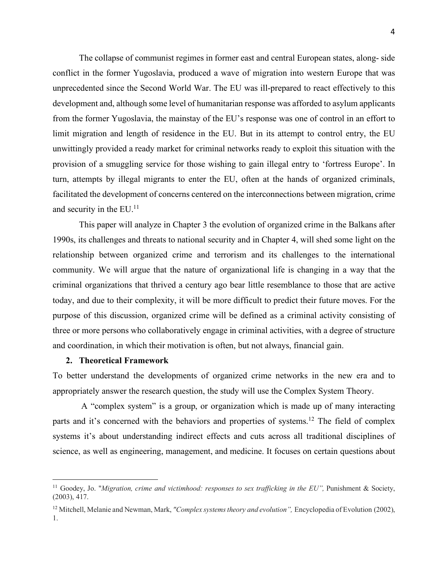The collapse of communist regimes in former east and central European states, along- side conflict in the former Yugoslavia, produced a wave of migration into western Europe that was unprecedented since the Second World War. The EU was ill-prepared to react effectively to this development and, although some level of humanitarian response was afforded to asylum applicants from the former Yugoslavia, the mainstay of the EU's response was one of control in an effort to limit migration and length of residence in the EU. But in its attempt to control entry, the EU unwittingly provided a ready market for criminal networks ready to exploit this situation with the provision of a smuggling service for those wishing to gain illegal entry to 'fortress Europe'. In turn, attempts by illegal migrants to enter the EU, often at the hands of organized criminals, facilitated the development of concerns centered on the interconnections between migration, crime and security in the EU.<sup>11</sup>

This paper will analyze in Chapter 3 the evolution of organized crime in the Balkans after 1990s, its challenges and threats to national security and in Chapter 4, will shed some light on the relationship between organized crime and terrorism and its challenges to the international community. We will argue that the nature of organizational life is changing in a way that the criminal organizations that thrived a century ago bear little resemblance to those that are active today, and due to their complexity, it will be more difficult to predict their future moves. For the purpose of this discussion, organized crime will be defined as a criminal activity consisting of three or more persons who collaboratively engage in criminal activities, with a degree of structure and coordination, in which their motivation is often, but not always, financial gain.

#### **2. Theoretical Framework**

 $\overline{a}$ 

To better understand the developments of organized crime networks in the new era and to appropriately answer the research question, the study will use the Complex System Theory.

A "complex system" is a group, or organization which is made up of many interacting parts and it's concerned with the behaviors and properties of systems.12 The field of complex systems it's about understanding indirect effects and cuts across all traditional disciplines of science, as well as engineering, management, and medicine. It focuses on certain questions about

<sup>11</sup> Goodey, Jo. "*Migration, crime and victimhood: responses to sex trafficking in the EU",* Punishment & Society, (2003), 417.

<sup>12</sup> Mitchell, Melanie and Newman, Mark, *"Complex systems theory and evolution",* Encyclopedia of Evolution (2002), 1.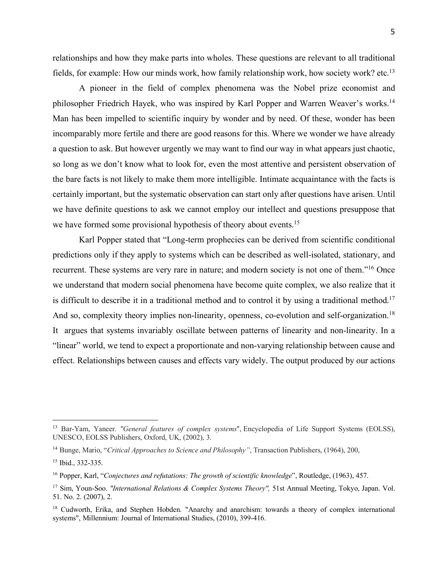relationships and how they make parts into wholes. These questions are relevant to all traditional fields, for example: How our minds work, how family relationship work, how society work? etc.<sup>13</sup>

A pioneer in the field of complex phenomena was the Nobel prize economist and philosopher Friedrich Hayek, who was inspired by Karl Popper and Warren Weaver's works.14 Man has been impelled to scientific inquiry by wonder and by need. Of these, wonder has been incomparably more fertile and there are good reasons for this. Where we wonder we have already a question to ask. But however urgently we may want to find our way in what appears just chaotic, so long as we don't know what to look for, even the most attentive and persistent observation of the bare facts is not likely to make them more intelligible. Intimate acquaintance with the facts is certainly important, but the systematic observation can start only after questions have arisen. Until we have definite questions to ask we cannot employ our intellect and questions presuppose that we have formed some provisional hypothesis of theory about events.<sup>15</sup>

Karl Popper stated that "Long-term prophecies can be derived from scientific conditional predictions only if they apply to systems which can be described as well-isolated, stationary, and recurrent. These systems are very rare in nature; and modern society is not one of them."16 Once we understand that modern social phenomena have become quite complex, we also realize that it is difficult to describe it in a traditional method and to control it by using a traditional method.17 And so, complexity theory implies non-linearity, openness, co-evolution and self-organization.<sup>18</sup> It argues that systems invariably oscillate between patterns of linearity and non-linearity. In a "linear" world, we tend to expect a proportionate and non-varying relationship between cause and effect. Relationships between causes and effects vary widely. The output produced by our actions

<sup>13</sup> Bar-Yam, Yaneer. *"General features of complex systems*", Encyclopedia of Life Support Systems (EOLSS), UNESCO, EOLSS Publishers, Oxford, UK, (2002), 3.

<sup>14</sup> Bunge, Mario, "*Critical Approaches to Science and Philosophy"*, Transaction Publishers, (1964), 200,

<sup>15</sup> Ibid., 332-335.

<sup>16</sup> Popper, Karl, "*Conjectures and refutations: The growth of scientific knowledge*", Routledge, (1963), 457.

<sup>&</sup>lt;sup>17</sup> Sim, Youn-Soo. *"International Relations & Complex Systems Theory"*, 51st Annual Meeting, Tokyo, Japan. Vol. 51. No. 2. (2007), 2.

<sup>&</sup>lt;sup>18</sup> Cudworth, Erika, and Stephen Hobden. "Anarchy and anarchism: towards a theory of complex international systems", Millennium: Journal of International Studies, (2010), 399-416.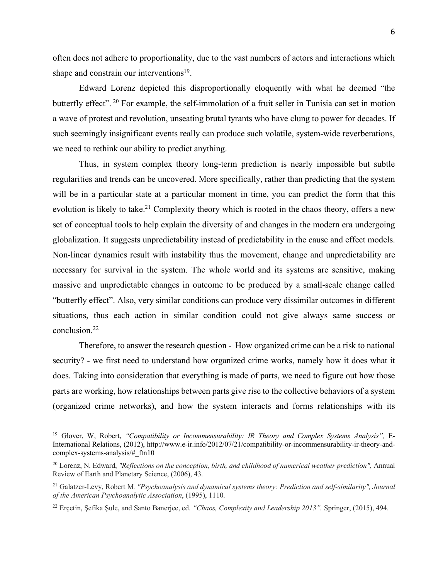often does not adhere to proportionality, due to the vast numbers of actors and interactions which shape and constrain our interventions<sup>19</sup>.

Edward Lorenz depicted this disproportionally eloquently with what he deemed "the butterfly effect". <sup>20</sup> For example, the self-immolation of a fruit seller in Tunisia can set in motion a wave of protest and revolution, unseating brutal tyrants who have clung to power for decades. If such seemingly insignificant events really can produce such volatile, system-wide reverberations, we need to rethink our ability to predict anything.

Thus, in system complex theory long-term prediction is nearly impossible but subtle regularities and trends can be uncovered. More specifically, rather than predicting that the system will be in a particular state at a particular moment in time, you can predict the form that this evolution is likely to take.<sup>21</sup> Complexity theory which is rooted in the chaos theory, offers a new set of conceptual tools to help explain the diversity of and changes in the modern era undergoing globalization. It suggests unpredictability instead of predictability in the cause and effect models. Non-linear dynamics result with instability thus the movement, change and unpredictability are necessary for survival in the system. The whole world and its systems are sensitive, making massive and unpredictable changes in outcome to be produced by a small-scale change called "butterfly effect". Also, very similar conditions can produce very dissimilar outcomes in different situations, thus each action in similar condition could not give always same success or conclusion.22

Therefore, to answer the research question - How organized crime can be a risk to national security? - we first need to understand how organized crime works, namely how it does what it does. Taking into consideration that everything is made of parts, we need to figure out how those parts are working, how relationships between parts give rise to the collective behaviors of a system (organized crime networks), and how the system interacts and forms relationships with its

<sup>19</sup> Glover, W, Robert, *"Compatibility or Incommensurability: IR Theory and Complex Systems Analysis",* E-International Relations, (2012), http://www.e-ir.info/2012/07/21/compatibility-or-incommensurability-ir-theory-andcomplex-systems-analysis/#\_ftn10

<sup>20</sup> Lorenz, N. Edward, *"Reflections on the conception, birth, and childhood of numerical weather prediction",* Annual Review of Earth and Planetary Science, (2006), 43.

<sup>21</sup> Galatzer-Levy, Robert M*. "Psychoanalysis and dynamical systems theory: Prediction and self-similarity", Journal of the American Psychoanalytic Association*, (1995), 1110.

<sup>22</sup> Erçetin, Şefika Şule, and Santo Banerjee, ed. *"Chaos, Complexity and Leadership 2013".* Springer, (2015), 494.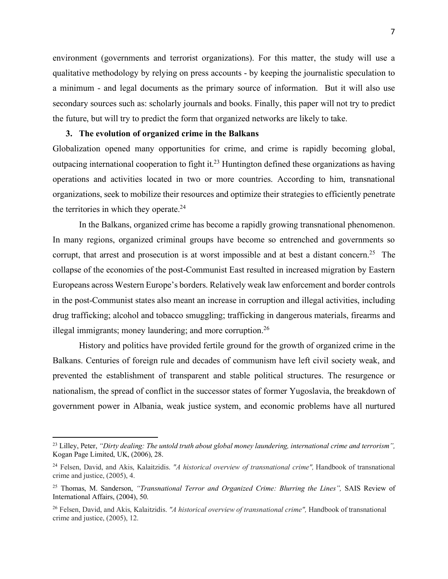environment (governments and terrorist organizations). For this matter, the study will use a qualitative methodology by relying on press accounts - by keeping the journalistic speculation to a minimum - and legal documents as the primary source of information. But it will also use secondary sources such as: scholarly journals and books. Finally, this paper will not try to predict the future, but will try to predict the form that organized networks are likely to take.

## **3. The evolution of organized crime in the Balkans**

 $\overline{a}$ 

Globalization opened many opportunities for crime, and crime is rapidly becoming global, outpacing international cooperation to fight it.23 Huntington defined these organizations as having operations and activities located in two or more countries. According to him, transnational organizations, seek to mobilize their resources and optimize their strategies to efficiently penetrate the territories in which they operate. $24$ 

In the Balkans, organized crime has become a rapidly growing transnational phenomenon. In many regions, organized criminal groups have become so entrenched and governments so corrupt, that arrest and prosecution is at worst impossible and at best a distant concern.<sup>25</sup> The collapse of the economies of the post-Communist East resulted in increased migration by Eastern Europeans across Western Europe's borders. Relatively weak law enforcement and border controls in the post-Communist states also meant an increase in corruption and illegal activities, including drug trafficking; alcohol and tobacco smuggling; trafficking in dangerous materials, firearms and illegal immigrants; money laundering; and more corruption.<sup>26</sup>

History and politics have provided fertile ground for the growth of organized crime in the Balkans. Centuries of foreign rule and decades of communism have left civil society weak, and prevented the establishment of transparent and stable political structures. The resurgence or nationalism, the spread of conflict in the successor states of former Yugoslavia, the breakdown of government power in Albania, weak justice system, and economic problems have all nurtured

<sup>23</sup> Lilley, Peter, *"Dirty dealing: The untold truth about global money laundering, international crime and terrorism",* Kogan Page Limited, UK, (2006), 28.

<sup>24</sup> Felsen, David, and Akis, Kalaitzidis. *"A historical overview of transnational crime",* Handbook of transnational crime and justice, (2005), 4.

<sup>25</sup> Thomas, M. Sanderson, *"Transnational Terror and Organized Crime: Blurring the Lines",* SAIS Review of International Affairs, (2004), 50.

<sup>26</sup> Felsen, David, and Akis, Kalaitzidis. *"A historical overview of transnational crime",* Handbook of transnational crime and justice, (2005), 12.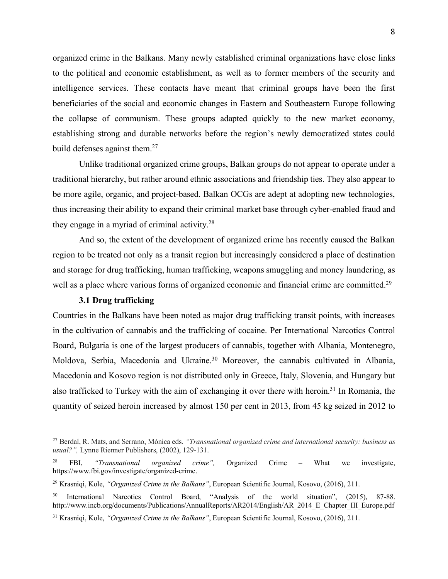organized crime in the Balkans. Many newly established criminal organizations have close links to the political and economic establishment, as well as to former members of the security and intelligence services. These contacts have meant that criminal groups have been the first beneficiaries of the social and economic changes in Eastern and Southeastern Europe following the collapse of communism. These groups adapted quickly to the new market economy, establishing strong and durable networks before the region's newly democratized states could build defenses against them.<sup>27</sup>

Unlike traditional organized crime groups, Balkan groups do not appear to operate under a traditional hierarchy, but rather around ethnic associations and friendship ties. They also appear to be more agile, organic, and project-based. Balkan OCGs are adept at adopting new technologies, thus increasing their ability to expand their criminal market base through cyber-enabled fraud and they engage in a myriad of criminal activity.28

And so, the extent of the development of organized crime has recently caused the Balkan region to be treated not only as a transit region but increasingly considered a place of destination and storage for drug trafficking, human trafficking, weapons smuggling and money laundering, as well as a place where various forms of organized economic and financial crime are committed.<sup>29</sup>

## **3.1 Drug trafficking**

 $\overline{a}$ 

Countries in the Balkans have been noted as major drug trafficking transit points, with increases in the cultivation of cannabis and the trafficking of cocaine. Per International Narcotics Control Board, Bulgaria is one of the largest producers of cannabis, together with Albania, Montenegro, Moldova, Serbia, Macedonia and Ukraine.<sup>30</sup> Moreover, the cannabis cultivated in Albania, Macedonia and Kosovo region is not distributed only in Greece, Italy, Slovenia, and Hungary but also trafficked to Turkey with the aim of exchanging it over there with heroin.31 In Romania, the quantity of seized heroin increased by almost 150 per cent in 2013, from 45 kg seized in 2012 to

<sup>27</sup> Berdal, R. Mats, and Serrano, Mónica eds. *"Transnational organized crime and international security: business as usual?",* Lynne Rienner Publishers, (2002), 129-131.

<sup>28</sup> FBI, *"Transnational organized crime",* Organized Crime – What we investigate, https://www.fbi.gov/investigate/organized-crime.

<sup>29</sup> Krasniqi, Kole, *"Organized Crime in the Balkans"*, European Scientific Journal, Kosovo, (2016), 211.

International Narcotics Control Board, "Analysis of the world situation", (2015), 87-88. http://www.incb.org/documents/Publications/AnnualReports/AR2014/English/AR\_2014\_E\_Chapter\_III\_Europe.pdf

<sup>31</sup> Krasniqi, Kole, *"Organized Crime in the Balkans"*, European Scientific Journal, Kosovo, (2016), 211.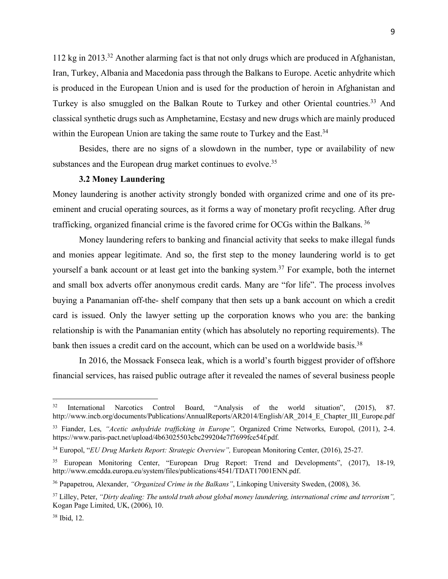112 kg in 2013.32 Another alarming fact is that not only drugs which are produced in Afghanistan, Iran, Turkey, Albania and Macedonia pass through the Balkans to Europe. Acetic anhydrite which is produced in the European Union and is used for the production of heroin in Afghanistan and Turkey is also smuggled on the Balkan Route to Turkey and other Oriental countries.<sup>33</sup> And classical synthetic drugs such as Amphetamine, Ecstasy and new drugs which are mainly produced within the European Union are taking the same route to Turkey and the East.<sup>34</sup>

Besides, there are no signs of a slowdown in the number, type or availability of new substances and the European drug market continues to evolve.<sup>35</sup>

# **3.2 Money Laundering**

Money laundering is another activity strongly bonded with organized crime and one of its preeminent and crucial operating sources, as it forms a way of monetary profit recycling. After drug trafficking, organized financial crime is the favored crime for OCGs within the Balkans. <sup>36</sup>

Money laundering refers to banking and financial activity that seeks to make illegal funds and monies appear legitimate. And so, the first step to the money laundering world is to get yourself a bank account or at least get into the banking system.<sup>37</sup> For example, both the internet and small box adverts offer anonymous credit cards. Many are "for life". The process involves buying a Panamanian off-the- shelf company that then sets up a bank account on which a credit card is issued. Only the lawyer setting up the corporation knows who you are: the banking relationship is with the Panamanian entity (which has absolutely no reporting requirements). The bank then issues a credit card on the account, which can be used on a worldwide basis.<sup>38</sup>

In 2016, the Mossack Fonseca leak, which is a world's fourth biggest provider of offshore financial services, has raised public outrage after it revealed the names of several business people

<sup>&</sup>lt;sup>32</sup> International Narcotics Control Board, "Analysis of the world situation", (2015), 87. http://www.incb.org/documents/Publications/AnnualReports/AR2014/English/AR\_2014\_E\_Chapter\_III\_Europe.pdf

<sup>33</sup> Fiander, Les, *"Acetic anhydride trafficking in Europe",* Organized Crime Networks, Europol, (2011), 2-4. https://www.paris-pact.net/upload/4b63025503cbc299204e7f7699fce54f.pdf.

<sup>34</sup> Europol, "*EU Drug Markets Report: Strategic Overview",* European Monitoring Center, (2016), 25-27.

<sup>35</sup> European Monitoring Center, "European Drug Report: Trend and Developments", (2017), 18-19, http://www.emcdda.europa.eu/system/files/publications/4541/TDAT17001ENN.pdf.

<sup>36</sup> Papapetrou, Alexander, *"Organized Crime in the Balkans"*, Linkoping University Sweden, (2008), 36.

<sup>37</sup> Lilley, Peter, *"Dirty dealing: The untold truth about global money laundering, international crime and terrorism",* Kogan Page Limited, UK, (2006), 10.

<sup>38</sup> Ibid, 12.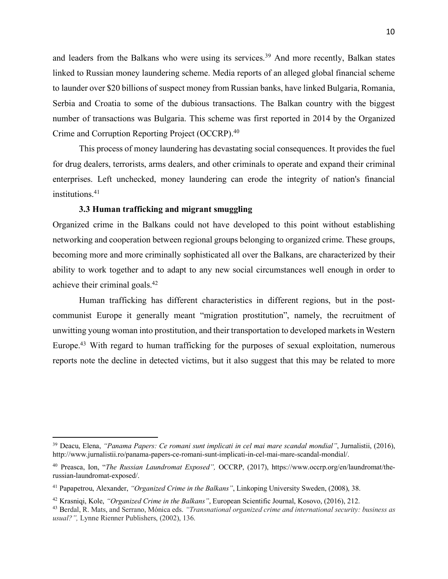and leaders from the Balkans who were using its services.<sup>39</sup> And more recently, Balkan states linked to Russian money laundering scheme. Media reports of an alleged global financial scheme to launder over \$20 billions of suspect money from Russian banks, have linked Bulgaria, Romania, Serbia and Croatia to some of the dubious transactions. The Balkan country with the biggest number of transactions was Bulgaria. This scheme was first reported in 2014 by the Organized Crime and Corruption Reporting Project (OCCRP).40

This process of money laundering has devastating social consequences. It provides the fuel for drug dealers, terrorists, arms dealers, and other criminals to operate and expand their criminal enterprises. Left unchecked, money laundering can erode the integrity of nation's financial institutions.<sup>41</sup>

# **3.3 Human trafficking and migrant smuggling**

 $\overline{a}$ 

Organized crime in the Balkans could not have developed to this point without establishing networking and cooperation between regional groups belonging to organized crime. These groups, becoming more and more criminally sophisticated all over the Balkans, are characterized by their ability to work together and to adapt to any new social circumstances well enough in order to achieve their criminal goals.42

Human trafficking has different characteristics in different regions, but in the postcommunist Europe it generally meant "migration prostitution", namely, the recruitment of unwitting young woman into prostitution, and their transportation to developed markets in Western Europe.<sup>43</sup> With regard to human trafficking for the purposes of sexual exploitation, numerous reports note the decline in detected victims, but it also suggest that this may be related to more

<sup>39</sup> Deacu, Elena, *"Panama Papers: Ce romani sunt implicati in cel mai mare scandal mondial"*, Jurnalistii, (2016), http://www.jurnalistii.ro/panama-papers-ce-romani-sunt-implicati-in-cel-mai-mare-scandal-mondial/.

<sup>40</sup> Preasca, Ion, "*The Russian Laundromat Exposed",* OCCRP, (2017), https://www.occrp.org/en/laundromat/therussian-laundromat-exposed/.

<sup>41</sup> Papapetrou, Alexander, *"Organized Crime in the Balkans"*, Linkoping University Sweden, (2008), 38.

<sup>42</sup> Krasniqi, Kole, *"Organized Crime in the Balkans"*, European Scientific Journal, Kosovo, (2016), 212.

<sup>43</sup> Berdal, R. Mats, and Serrano, Mónica eds. *"Transnational organized crime and international security: business as usual?",* Lynne Rienner Publishers, (2002), 136.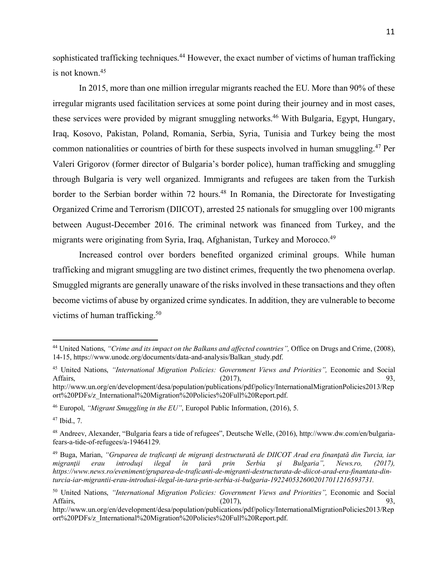sophisticated trafficking techniques.<sup>44</sup> However, the exact number of victims of human trafficking is not known.45

In 2015, more than one million irregular migrants reached the EU. More than 90% of these irregular migrants used facilitation services at some point during their journey and in most cases, these services were provided by migrant smuggling networks.<sup>46</sup> With Bulgaria, Egypt, Hungary, Iraq, Kosovo, Pakistan, Poland, Romania, Serbia, Syria, Tunisia and Turkey being the most common nationalities or countries of birth for these suspects involved in human smuggling.47 Per Valeri Grigorov (former director of Bulgaria's border police), human trafficking and smuggling through Bulgaria is very well organized. Immigrants and refugees are taken from the Turkish border to the Serbian border within 72 hours.<sup>48</sup> In Romania, the Directorate for Investigating Organized Crime and Terrorism (DIICOT), arrested 25 nationals for smuggling over 100 migrants between August-December 2016. The criminal network was financed from Turkey, and the migrants were originating from Syria, Iraq, Afghanistan, Turkey and Morocco.49

Increased control over borders benefited organized criminal groups. While human trafficking and migrant smuggling are two distinct crimes, frequently the two phenomena overlap. Smuggled migrants are generally unaware of the risks involved in these transactions and they often become victims of abuse by organized crime syndicates. In addition, they are vulnerable to become victims of human trafficking.<sup>50</sup>

<sup>44</sup> United Nations, *"Crime and its impact on the Balkans and affected countries",* Office on Drugs and Crime, (2008), 14-15, https://www.unodc.org/documents/data-and-analysis/Balkan\_study.pdf.

<sup>45</sup> United Nations, *"International Migration Policies: Government Views and Priorities",* Economic and Social Affairs,  $(2017)$ ,  $93$ ,  $(93)$ 

http://www.un.org/en/development/desa/population/publications/pdf/policy/InternationalMigrationPolicies2013/Rep ort%20PDFs/z\_International%20Migration%20Policies%20Full%20Report.pdf.

<sup>46</sup> Europol, *"Migrant Smuggling in the EU"*, Europol Public Information, (2016), 5.

<sup>47</sup> Ibid., 7.

<sup>48</sup> Andreev, Alexander, "Bulgaria fears a tide of refugees", Deutsche Welle, (2016), http://www.dw.com/en/bulgariafears-a-tide-of-refugees/a-19464129.

<sup>49</sup> Buga, Marian, *"Gruparea de traficanţi de migranţi destructurată de DIICOT Arad era finanţată din Turcia, iar migranţii erau introduşi ilegal în ţară prin Serbia şi Bulgaria", News.ro, (2017), https://www.news.ro/eveniment/gruparea-de-traficanti-de-migranti-destructurata-de-diicot-arad-era-finantata-dinturcia-iar-migrantii-erau-introdusi-ilegal-in-tara-prin-serbia-si-bulgaria-1922405326002017011216593731.*

<sup>50</sup> United Nations, *"International Migration Policies: Government Views and Priorities",* Economic and Social Affairs,  $(2017)$ ,  $93$ ,  $(93)$ 

http://www.un.org/en/development/desa/population/publications/pdf/policy/InternationalMigrationPolicies2013/Rep ort%20PDFs/z\_International%20Migration%20Policies%20Full%20Report.pdf.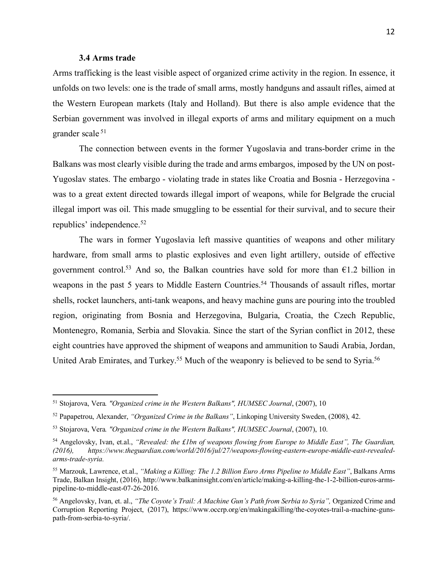### **3.4 Arms trade**

 $\overline{a}$ 

Arms trafficking is the least visible aspect of organized crime activity in the region. In essence, it unfolds on two levels: one is the trade of small arms, mostly handguns and assault rifles, aimed at the Western European markets (Italy and Holland). But there is also ample evidence that the Serbian government was involved in illegal exports of arms and military equipment on a much grander scale <sup>51</sup>

The connection between events in the former Yugoslavia and trans-border crime in the Balkans was most clearly visible during the trade and arms embargos, imposed by the UN on post-Yugoslav states. The embargo - violating trade in states like Croatia and Bosnia - Herzegovina was to a great extent directed towards illegal import of weapons, while for Belgrade the crucial illegal import was oil. This made smuggling to be essential for their survival, and to secure their republics' independence.52

The wars in former Yugoslavia left massive quantities of weapons and other military hardware, from small arms to plastic explosives and even light artillery, outside of effective government control.<sup>53</sup> And so, the Balkan countries have sold for more than  $\epsilon$ 1.2 billion in weapons in the past 5 years to Middle Eastern Countries.<sup>54</sup> Thousands of assault rifles, mortar shells, rocket launchers, anti-tank weapons, and heavy machine guns are pouring into the troubled region, originating from Bosnia and Herzegovina, Bulgaria, Croatia, the Czech Republic, Montenegro, Romania, Serbia and Slovakia. Since the start of the Syrian conflict in 2012, these eight countries have approved the shipment of weapons and ammunition to Saudi Arabia, Jordan, United Arab Emirates, and Turkey.<sup>55</sup> Much of the weaponry is believed to be send to Syria.<sup>56</sup>

<sup>51</sup> Stojarova, Vera*. "Organized crime in the Western Balkans", HUMSEC Journal*, (2007), 10

<sup>52</sup> Papapetrou, Alexander, *"Organized Crime in the Balkans"*, Linkoping University Sweden, (2008), 42.

<sup>53</sup> Stojarova, Vera*. "Organized crime in the Western Balkans", HUMSEC Journal*, (2007), 10.

<sup>54</sup> Angelovsky, Ivan, et.al., *"Revealed: the £1bn of weapons flowing from Europe to Middle East", The Guardian, (2016), https://www.theguardian.com/world/2016/jul/27/weapons-flowing-eastern-europe-middle-east-revealedarms-trade-syria.*

<sup>55</sup> Marzouk, Lawrence, et.al., *"Making a Killing: The 1.2 Billion Euro Arms Pipeline to Middle East"*, Balkans Arms Trade, Balkan Insight, (2016), http://www.balkaninsight.com/en/article/making-a-killing-the-1-2-billion-euros-armspipeline-to-middle-east-07-26-2016.

<sup>56</sup> Angelovsky, Ivan, et. al., *"The Coyote's Trail: A Machine Gun's Path from Serbia to Syria",* Organized Crime and Corruption Reporting Project, (2017), https://www.occrp.org/en/makingakilling/the-coyotes-trail-a-machine-gunspath-from-serbia-to-syria/.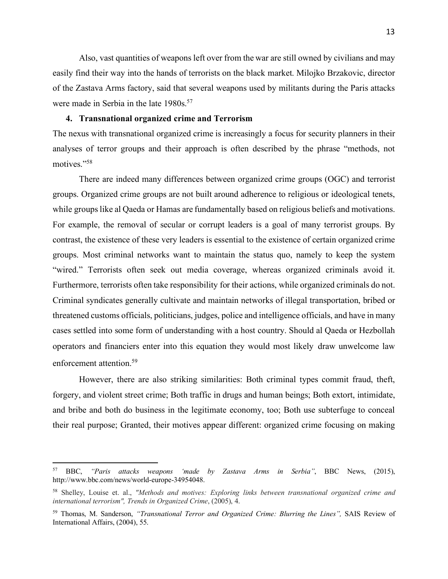Also, vast quantities of weapons left over from the war are still owned by civilians and may easily find their way into the hands of terrorists on the black market. Milojko Brzakovic, director of the Zastava Arms factory, said that several weapons used by militants during the Paris attacks were made in Serbia in the late 1980s.<sup>57</sup>

# **4. Transnational organized crime and Terrorism**

The nexus with transnational organized crime is increasingly a focus for security planners in their analyses of terror groups and their approach is often described by the phrase "methods, not motives."58

There are indeed many differences between organized crime groups (OGC) and terrorist groups. Organized crime groups are not built around adherence to religious or ideological tenets, while groups like al Qaeda or Hamas are fundamentally based on religious beliefs and motivations. For example, the removal of secular or corrupt leaders is a goal of many terrorist groups. By contrast, the existence of these very leaders is essential to the existence of certain organized crime groups. Most criminal networks want to maintain the status quo, namely to keep the system "wired." Terrorists often seek out media coverage, whereas organized criminals avoid it. Furthermore, terrorists often take responsibility for their actions, while organized criminals do not. Criminal syndicates generally cultivate and maintain networks of illegal transportation, bribed or threatened customs officials, politicians, judges, police and intelligence officials, and have in many cases settled into some form of understanding with a host country. Should al Qaeda or Hezbollah operators and financiers enter into this equation they would most likely draw unwelcome law enforcement attention<sup>59</sup>

However, there are also striking similarities: Both criminal types commit fraud, theft, forgery, and violent street crime; Both traffic in drugs and human beings; Both extort, intimidate, and bribe and both do business in the legitimate economy, too; Both use subterfuge to conceal their real purpose; Granted, their motives appear different: organized crime focusing on making

<sup>57</sup> BBC, *"Paris attacks weapons 'made by Zastava Arms in Serbia"*, BBC News, (2015), http://www.bbc.com/news/world-europe-34954048.

<sup>58</sup> Shelley, Louise et. al., *"Methods and motives: Exploring links between transnational organized crime and international terrorism", Trends in Organized Crime*, (2005), 4.

<sup>59</sup> Thomas, M. Sanderson, *"Transnational Terror and Organized Crime: Blurring the Lines",* SAIS Review of International Affairs, (2004), 55.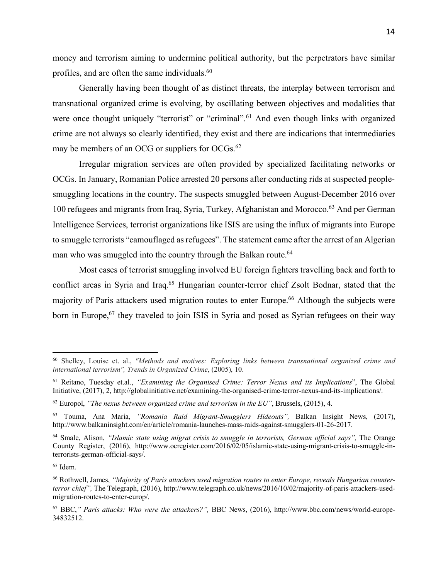money and terrorism aiming to undermine political authority, but the perpetrators have similar profiles, and are often the same individuals.<sup>60</sup>

Generally having been thought of as distinct threats, the interplay between terrorism and transnational organized crime is evolving, by oscillating between objectives and modalities that were once thought uniquely "terrorist" or "criminal".<sup>61</sup> And even though links with organized crime are not always so clearly identified, they exist and there are indications that intermediaries may be members of an OCG or suppliers for OCGs.<sup>62</sup>

Irregular migration services are often provided by specialized facilitating networks or OCGs. In January, Romanian Police arrested 20 persons after conducting rids at suspected peoplesmuggling locations in the country. The suspects smuggled between August-December 2016 over 100 refugees and migrants from Iraq, Syria, Turkey, Afghanistan and Morocco.63 And per German Intelligence Services, terrorist organizations like ISIS are using the influx of migrants into Europe to smuggle terrorists "camouflaged as refugees". The statement came after the arrest of an Algerian man who was smuggled into the country through the Balkan route.<sup>64</sup>

Most cases of terrorist smuggling involved EU foreign fighters travelling back and forth to conflict areas in Syria and Iraq.<sup>65</sup> Hungarian counter-terror chief Zsolt Bodnar, stated that the majority of Paris attackers used migration routes to enter Europe.<sup>66</sup> Although the subjects were born in Europe,<sup>67</sup> they traveled to join ISIS in Syria and posed as Syrian refugees on their way

<sup>60</sup> Shelley, Louise et. al., *"Methods and motives: Exploring links between transnational organized crime and international terrorism", Trends in Organized Crime*, (2005), 10.

<sup>61</sup> Reitano, Tuesday et.al., *"Examining the Organised Crime: Terror Nexus and its Implications*", The Global Initiative, (2017), 2, http://globalinitiative.net/examining-the-organised-crime-terror-nexus-and-its-implications/.

<sup>62</sup> Europol, *"The nexus between organized crime and terrorism in the EU"*, Brussels, (2015), 4.

<sup>63</sup> Touma, Ana Maria, *"Romania Raid Migrant-Smugglers Hideouts",* Balkan Insight News, (2017), http://www.balkaninsight.com/en/article/romania-launches-mass-raids-against-smugglers-01-26-2017.

<sup>64</sup> Smale, Alison, *"Islamic state using migrat crisis to smuggle in terrorists, German official says",* The Orange County Register, (2016), http://www.ocregister.com/2016/02/05/islamic-state-using-migrant-crisis-to-smuggle-interrorists-german-official-says/.

<sup>65</sup> Idem.

<sup>66</sup> Rothwell, James, *"Majority of Paris attackers used migration routes to enter Europe, reveals Hungarian counterterror chief",* The Telegraph, (2016), http://www.telegraph.co.uk/news/2016/10/02/majority-of-paris-attackers-usedmigration-routes-to-enter-europ/.

<sup>67</sup> BBC,*" Paris attacks: Who were the attackers?",* BBC News, (2016), http://www.bbc.com/news/world-europe-34832512.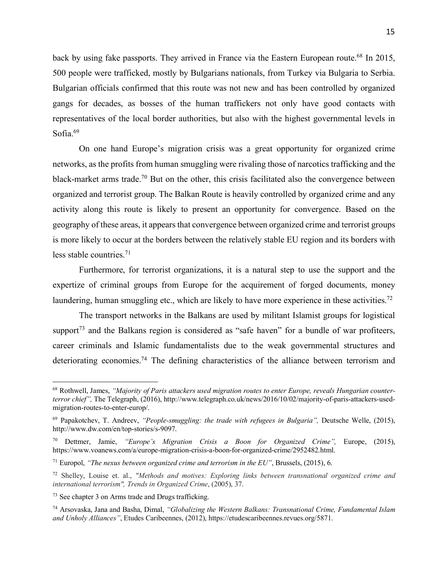back by using fake passports. They arrived in France via the Eastern European route.<sup>68</sup> In 2015, 500 people were trafficked, mostly by Bulgarians nationals, from Turkey via Bulgaria to Serbia. Bulgarian officials confirmed that this route was not new and has been controlled by organized gangs for decades, as bosses of the human traffickers not only have good contacts with representatives of the local border authorities, but also with the highest governmental levels in Sofia.<sup>69</sup>

On one hand Europe's migration crisis was a great opportunity for organized crime networks, as the profits from human smuggling were rivaling those of narcotics trafficking and the black-market arms trade.<sup>70</sup> But on the other, this crisis facilitated also the convergence between organized and terrorist group. The Balkan Route is heavily controlled by organized crime and any activity along this route is likely to present an opportunity for convergence. Based on the geography of these areas, it appears that convergence between organized crime and terrorist groups is more likely to occur at the borders between the relatively stable EU region and its borders with less stable countries.<sup>71</sup>

Furthermore, for terrorist organizations, it is a natural step to use the support and the expertize of criminal groups from Europe for the acquirement of forged documents, money laundering, human smuggling etc., which are likely to have more experience in these activities.<sup>72</sup>

The transport networks in the Balkans are used by militant Islamist groups for logistical support<sup>73</sup> and the Balkans region is considered as "safe haven" for a bundle of war profiteers, career criminals and Islamic fundamentalists due to the weak governmental structures and deteriorating economies.74 The defining characteristics of the alliance between terrorism and

<sup>68</sup> Rothwell, James, *"Majority of Paris attackers used migration routes to enter Europe, reveals Hungarian counterterror chief",* The Telegraph, (2016), http://www.telegraph.co.uk/news/2016/10/02/majority-of-paris-attackers-usedmigration-routes-to-enter-europ/.

<sup>69</sup> Papakotchev, T. Andreev, *"People-smuggling: the trade with refugees in Bulgaria",* Deutsche Welle, (2015), http://www.dw.com/en/top-stories/s-9097.

<sup>70</sup> Dettmer, Jamie, *"Europe's Migration Crisis a Boon for Organized Crime",* Europe, (2015), https://www.voanews.com/a/europe-migration-crisis-a-boon-for-organized-crime/2952482.html.

<sup>71</sup> Europol, *"The nexus between organized crime and terrorism in the EU"*, Brussels, (2015), 6.

<sup>72</sup> Shelley, Louise et. al., *"Methods and motives: Exploring links between transnational organized crime and international terrorism", Trends in Organized Crime*, (2005), 37.

<sup>73</sup> See chapter 3 on Arms trade and Drugs trafficking.

<sup>74</sup> Arsovaska, Jana and Basha, Dimal, *"Globalizing the Western Balkans: Transnational Crime, Fundamental Islam and Unholy Alliances"*, Etudes Caribeennes, (2012), https://etudescaribeennes.revues.org/5871.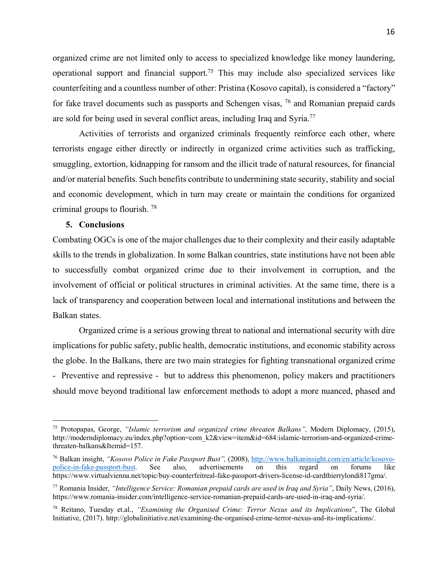organized crime are not limited only to access to specialized knowledge like money laundering, operational support and financial support.75 This may include also specialized services like counterfeiting and a countless number of other: Pristina (Kosovo capital), is considered a "factory" for fake travel documents such as passports and Schengen visas, 76 and Romanian prepaid cards are sold for being used in several conflict areas, including Iraq and Syria.77

Activities of terrorists and organized criminals frequently reinforce each other, where terrorists engage either directly or indirectly in organized crime activities such as trafficking, smuggling, extortion, kidnapping for ransom and the illicit trade of natural resources, for financial and/or material benefits. Such benefits contribute to undermining state security, stability and social and economic development, which in turn may create or maintain the conditions for organized criminal groups to flourish. 78

## **5. Conclusions**

 $\overline{a}$ 

Combating OGCs is one of the major challenges due to their complexity and their easily adaptable skills to the trends in globalization. In some Balkan countries, state institutions have not been able to successfully combat organized crime due to their involvement in corruption, and the involvement of official or political structures in criminal activities. At the same time, there is a lack of transparency and cooperation between local and international institutions and between the Balkan states.

Organized crime is a serious growing threat to national and international security with dire implications for public safety, public health, democratic institutions, and economic stability across the globe. In the Balkans, there are two main strategies for fighting transnational organized crime - Preventive and repressive - but to address this phenomenon, policy makers and practitioners should move beyond traditional law enforcement methods to adopt a more nuanced, phased and

<sup>75</sup> Protopapas, George, *"Islamic terrorism and organized crime threaten Balkans",* Modern Diplomacy, (2015), http://moderndiplomacy.eu/index.php?option=com\_k2&view=item&id=684:islamic-terrorism-and-organized-crimethreaten-balkans&Itemid=157.

<sup>76</sup> Balkan insight, *"Kosovo Police in Fake Passport Bust",* (2008), http://www.balkaninsight.com/en/article/kosovopolice-in-fake-passport-bust. See also, advertisements on this regard on forums like https://www.virtualvienna.net/topic/buy-counterfeitreal-fake-passport-drivers-license-id-cardthierrylondi817gma/.

<sup>77</sup> Romania Insider, *"Intelligence Service: Romanian prepaid cards are used in Iraq and Syria"*, Daily News, (2016), https://www.romania-insider.com/intelligence-service-romanian-prepaid-cards-are-used-in-iraq-and-syria/.

<sup>78</sup> Reitano, Tuesday et.al., *"Examining the Organised Crime: Terror Nexus and its Implications*", The Global Initiative, (2017). http://globalinitiative.net/examining-the-organised-crime-terror-nexus-and-its-implications/.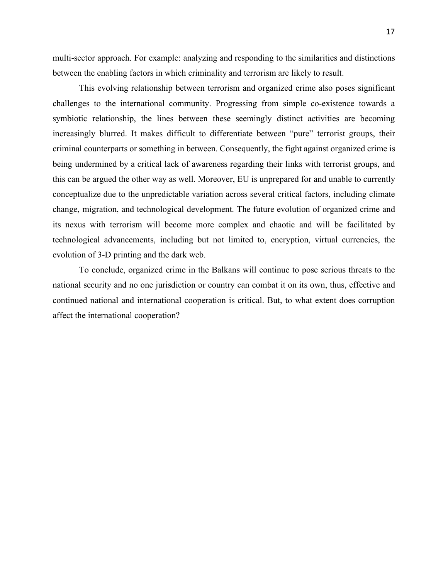multi-sector approach. For example: analyzing and responding to the similarities and distinctions between the enabling factors in which criminality and terrorism are likely to result.

This evolving relationship between terrorism and organized crime also poses significant challenges to the international community. Progressing from simple co-existence towards a symbiotic relationship, the lines between these seemingly distinct activities are becoming increasingly blurred. It makes difficult to differentiate between "pure" terrorist groups, their criminal counterparts or something in between. Consequently, the fight against organized crime is being undermined by a critical lack of awareness regarding their links with terrorist groups, and this can be argued the other way as well. Moreover, EU is unprepared for and unable to currently conceptualize due to the unpredictable variation across several critical factors, including climate change, migration, and technological development. The future evolution of organized crime and its nexus with terrorism will become more complex and chaotic and will be facilitated by technological advancements, including but not limited to, encryption, virtual currencies, the evolution of 3-D printing and the dark web.

To conclude, organized crime in the Balkans will continue to pose serious threats to the national security and no one jurisdiction or country can combat it on its own, thus, effective and continued national and international cooperation is critical. But, to what extent does corruption affect the international cooperation?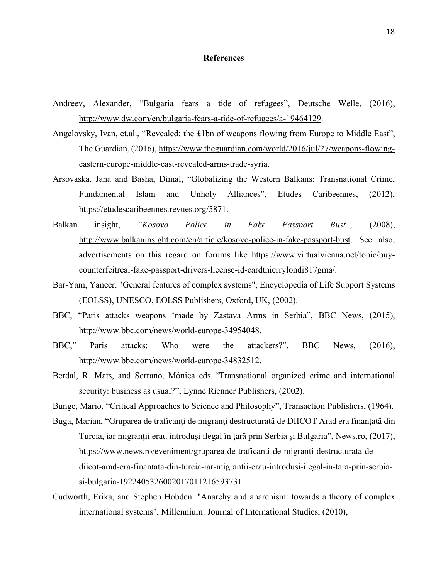## **References**

- Andreev, Alexander, "Bulgaria fears a tide of refugees", Deutsche Welle, (2016), http://www.dw.com/en/bulgaria-fears-a-tide-of-refugees/a-19464129.
- Angelovsky, Ivan, et.al., "Revealed: the £1bn of weapons flowing from Europe to Middle East", The Guardian, (2016), https://www.theguardian.com/world/2016/jul/27/weapons-flowingeastern-europe-middle-east-revealed-arms-trade-syria.
- Arsovaska, Jana and Basha, Dimal, "Globalizing the Western Balkans: Transnational Crime, Fundamental Islam and Unholy Alliances", Etudes Caribeennes, (2012), https://etudescaribeennes.revues.org/5871.
- Balkan insight, *"Kosovo Police in Fake Passport Bust",* (2008), http://www.balkaninsight.com/en/article/kosovo-police-in-fake-passport-bust. See also, advertisements on this regard on forums like https://www.virtualvienna.net/topic/buycounterfeitreal-fake-passport-drivers-license-id-cardthierrylondi817gma/.
- Bar-Yam, Yaneer. "General features of complex systems", Encyclopedia of Life Support Systems (EOLSS), UNESCO, EOLSS Publishers, Oxford, UK, (2002).
- BBC, "Paris attacks weapons 'made by Zastava Arms in Serbia", BBC News, (2015), http://www.bbc.com/news/world-europe-34954048.
- BBC," Paris attacks: Who were the attackers?", BBC News, (2016), http://www.bbc.com/news/world-europe-34832512.
- Berdal, R. Mats, and Serrano, Mónica eds. "Transnational organized crime and international security: business as usual?", Lynne Rienner Publishers, (2002).

Bunge, Mario, "Critical Approaches to Science and Philosophy", Transaction Publishers, (1964).

- Buga, Marian, "Gruparea de traficanți de migranți destructurată de DIICOT Arad era finanțată din Turcia, iar migranţii erau introduşi ilegal în ţară prin Serbia şi Bulgaria", News.ro, (2017), https://www.news.ro/eveniment/gruparea-de-traficanti-de-migranti-destructurata-dediicot-arad-era-finantata-din-turcia-iar-migrantii-erau-introdusi-ilegal-in-tara-prin-serbiasi-bulgaria-1922405326002017011216593731.
- Cudworth, Erika, and Stephen Hobden. "Anarchy and anarchism: towards a theory of complex international systems", Millennium: Journal of International Studies, (2010),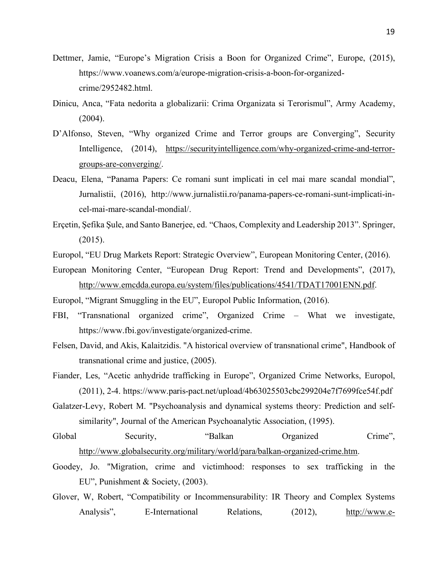- Dettmer, Jamie, "Europe's Migration Crisis a Boon for Organized Crime", Europe, (2015), https://www.voanews.com/a/europe-migration-crisis-a-boon-for-organizedcrime/2952482.html.
- Dinicu, Anca, "Fata nedorita a globalizarii: Crima Organizata si Terorismul", Army Academy, (2004).
- D'Alfonso, Steven, "Why organized Crime and Terror groups are Converging", Security Intelligence, (2014), https://securityintelligence.com/why-organized-crime-and-terrorgroups-are-converging/.
- Deacu, Elena, "Panama Papers: Ce romani sunt implicati in cel mai mare scandal mondial", Jurnalistii, (2016), http://www.jurnalistii.ro/panama-papers-ce-romani-sunt-implicati-incel-mai-mare-scandal-mondial/.
- Erçetin, Şefika Şule, and Santo Banerjee, ed. "Chaos, Complexity and Leadership 2013". Springer, (2015).
- Europol, "EU Drug Markets Report: Strategic Overview", European Monitoring Center, (2016).
- European Monitoring Center, "European Drug Report: Trend and Developments", (2017), http://www.emcdda.europa.eu/system/files/publications/4541/TDAT17001ENN.pdf.

Europol, "Migrant Smuggling in the EU", Europol Public Information, (2016).

- FBI, "Transnational organized crime", Organized Crime What we investigate, https://www.fbi.gov/investigate/organized-crime.
- Felsen, David, and Akis, Kalaitzidis. "A historical overview of transnational crime", Handbook of transnational crime and justice, (2005).
- Fiander, Les, "Acetic anhydride trafficking in Europe", Organized Crime Networks, Europol, (2011), 2-4. https://www.paris-pact.net/upload/4b63025503cbc299204e7f7699fce54f.pdf
- Galatzer-Levy, Robert M. "Psychoanalysis and dynamical systems theory: Prediction and selfsimilarity", Journal of the American Psychoanalytic Association, (1995).
- Global Security, "Balkan Organized Crime", http://www.globalsecurity.org/military/world/para/balkan-organized-crime.htm.
- Goodey, Jo. "Migration, crime and victimhood: responses to sex trafficking in the EU", Punishment & Society, (2003).
- Glover, W, Robert, "Compatibility or Incommensurability: IR Theory and Complex Systems Analysis", E-International Relations, (2012), http://www.e-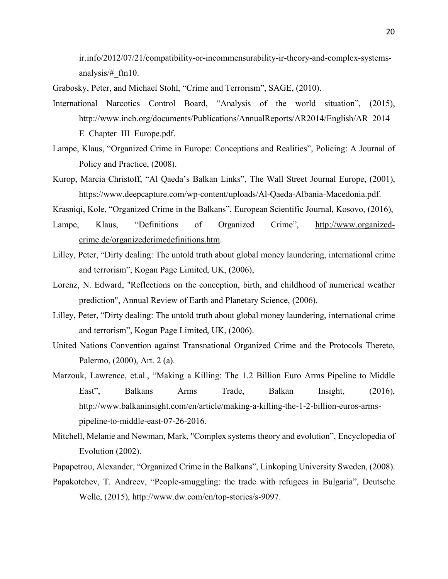ir.info/2012/07/21/compatibility-or-incommensurability-ir-theory-and-complex-systemsanalysis/#\_ftn10.

Grabosky, Peter, and Michael Stohl, "Crime and Terrorism", SAGE, (2010).

- International Narcotics Control Board, "Analysis of the world situation", (2015), http://www.incb.org/documents/Publications/AnnualReports/AR2014/English/AR\_2014\_ E\_Chapter\_III\_Europe.pdf.
- Lampe, Klaus, "Organized Crime in Europe: Conceptions and Realities", Policing: A Journal of Policy and Practice, (2008).
- Kurop, Marcia Christoff, "Al Qaeda's Balkan Links", The Wall Street Journal Europe, (2001), https://www.deepcapture.com/wp-content/uploads/Al-Qaeda-Albania-Macedonia.pdf.

Krasniqi, Kole, "Organized Crime in the Balkans", European Scientific Journal, Kosovo, (2016),

- Lampe, Klaus, "Definitions of Organized Crime", http://www.organizedcrime.de/organizedcrimedefinitions.htm.
- Lilley, Peter, "Dirty dealing: The untold truth about global money laundering, international crime and terrorism", Kogan Page Limited, UK, (2006),
- Lorenz, N. Edward, "Reflections on the conception, birth, and childhood of numerical weather prediction", Annual Review of Earth and Planetary Science, (2006).
- Lilley, Peter, "Dirty dealing: The untold truth about global money laundering, international crime and terrorism", Kogan Page Limited, UK, (2006).
- United Nations Convention against Transnational Organized Crime and the Protocols Thereto, Palermo, (2000), Art. 2 (a).
- Marzouk, Lawrence, et.al., "Making a Killing: The 1.2 Billion Euro Arms Pipeline to Middle East", Balkans Arms Trade, Balkan Insight, (2016), http://www.balkaninsight.com/en/article/making-a-killing-the-1-2-billion-euros-armspipeline-to-middle-east-07-26-2016.
- Mitchell, Melanie and Newman, Mark, "Complex systems theory and evolution", Encyclopedia of Evolution (2002).
- Papapetrou, Alexander, "Organized Crime in the Balkans", Linkoping University Sweden, (2008).
- Papakotchev, T. Andreev, "People-smuggling: the trade with refugees in Bulgaria", Deutsche Welle, (2015), http://www.dw.com/en/top-stories/s-9097.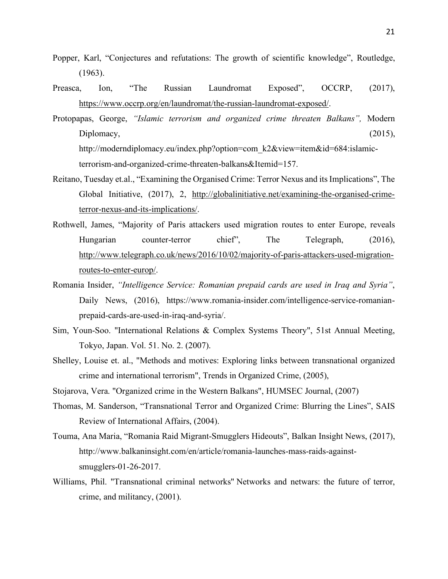- Popper, Karl, "Conjectures and refutations: The growth of scientific knowledge", Routledge, (1963).
- Preasca, Ion, "The Russian Laundromat Exposed", OCCRP, (2017), https://www.occrp.org/en/laundromat/the-russian-laundromat-exposed/.
- Protopapas, George, *"Islamic terrorism and organized crime threaten Balkans",* Modern Diplomacy,  $(2015)$ ,  $(2015)$ ,  $(2015)$ ,  $(2015)$ ,  $(2015)$ ,  $(2015)$ ,  $(2015)$ ,  $(2015)$ ,  $(2015)$ ,  $(2015)$ ,  $(2015)$ ,  $(2015)$ ,  $(2015)$ ,  $(2015)$ ,  $(2015)$ ,  $(2015)$ ,  $(2015)$ ,  $(2015)$ ,  $(2015)$ ,  $(2015)$ ,  $(2015)$ , http://moderndiplomacy.eu/index.php?option=com\_k2&view=item&id=684:islamic-

terrorism-and-organized-crime-threaten-balkans&Itemid=157.

- Reitano, Tuesday et.al., "Examining the Organised Crime: Terror Nexus and its Implications", The Global Initiative, (2017), 2, http://globalinitiative.net/examining-the-organised-crimeterror-nexus-and-its-implications/.
- Rothwell, James, "Majority of Paris attackers used migration routes to enter Europe, reveals Hungarian counter-terror chief", The Telegraph, (2016), http://www.telegraph.co.uk/news/2016/10/02/majority-of-paris-attackers-used-migrationroutes-to-enter-europ/.
- Romania Insider, *"Intelligence Service: Romanian prepaid cards are used in Iraq and Syria"*, Daily News, (2016), https://www.romania-insider.com/intelligence-service-romanianprepaid-cards-are-used-in-iraq-and-syria/.
- Sim, Youn-Soo. "International Relations & Complex Systems Theory", 51st Annual Meeting, Tokyo, Japan. Vol. 51. No. 2. (2007).
- Shelley, Louise et. al., "Methods and motives: Exploring links between transnational organized crime and international terrorism", Trends in Organized Crime, (2005),
- Stojarova, Vera. "Organized crime in the Western Balkans", HUMSEC Journal, (2007)
- Thomas, M. Sanderson, "Transnational Terror and Organized Crime: Blurring the Lines", SAIS Review of International Affairs, (2004).
- Touma, Ana Maria, "Romania Raid Migrant-Smugglers Hideouts", Balkan Insight News, (2017), http://www.balkaninsight.com/en/article/romania-launches-mass-raids-againstsmugglers-01-26-2017.
- Williams, Phil. "Transnational criminal networks" Networks and netwars: the future of terror, crime, and militancy, (2001).